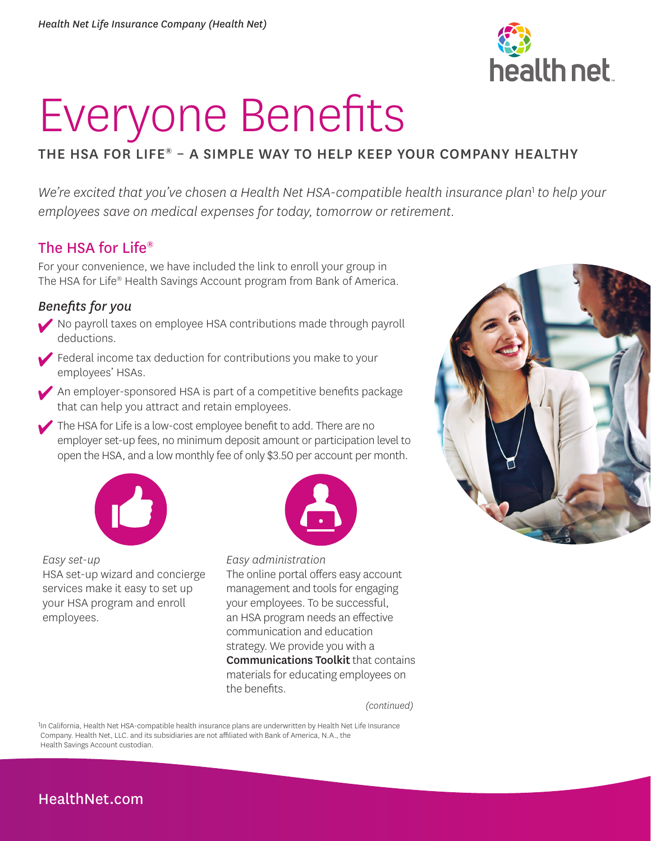

# Everyone Benefits

# THE HSA FOR LIFE® – A SIMPLE WAY TO HELP KEEP YOUR COMPANY HEALTHY

We're excited that you've chosen a Health Net HSA-compatible health insurance plan<sup>1</sup> to help your *employees save on medical expenses for today, tomorrow or retirement.* 

# The HSA for Life®

For your convenience, we have included the link to enroll your group in The HSA for Life® Health Savings Account program from Bank of America.

### *Benefits for you*

- No payroll taxes on employee HSA contributions made through payroll deductions.
- Federal income tax deduction for contributions you make to your employees' HSAs.
- An employer-sponsored HSA is part of a competitive benefits package that can help you attract and retain employees.
- The HSA for Life is a low-cost employee benefit to add. There are no employer set-up fees, no minimum deposit amount or participation level to open the HSA, and a low monthly fee of only \$3.50 per account per month.



*Easy set-up*  HSA set-up wizard and concierge services make it easy to set up your HSA program and enroll employees.



*Easy administration*  The online portal offers easy account management and tools for engaging your employees. To be successful, an HSA program needs an effective communication and education strategy. We provide you with a Communications Toolkit that contains materials for educating employees on the benefits.

*(continued)* 

1In California, Health Net HSA-compatible health insurance plans are underwritten by Health Net Life Insurance Company. Health Net, LLC. and its subsidiaries are not affiliated with Bank of America, N.A., the Health Savings Account custodian.



# [HealthNet.com](http://HealthNet.com)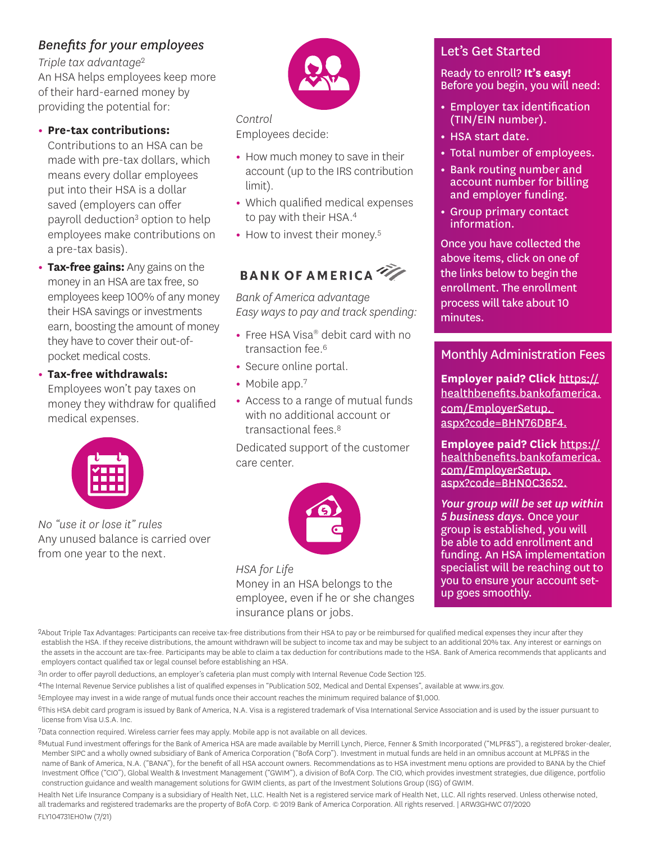# *Benefits for your employees*

*Triple tax advantage*<sup>2</sup> An HSA helps employees keep more of their hard-earned money by providing the potential for:

#### **• Pre-tax contributions:**

Contributions to an HSA can be made with pre-tax dollars, which means every dollar employees put into their HSA is a dollar saved (employers can offer payroll deduction<sup>3</sup> option to help employees make contributions on a pre-tax basis).

**• Tax-free gains:** Any gains on the money in an HSA are tax free, so employees keep 100% of any money their HSA savings or investments earn, boosting the amount of money they have to cover their out-ofpocket medical costs.

**• Tax-free withdrawals:**

Employees won't pay taxes on money they withdraw for qualified medical expenses.



*No "use it or lose it" rules*  Any unused balance is carried over from one year to the next.



*Control*  Employees decide:

- **•** How much money to save in their account (up to the IRS contribution limit).
- **•** Which qualified medical expenses to pay with their HSA.<sup>4</sup>
- How to invest their money.<sup>5</sup>

# **BANK OF AMERICA**

*Bank of America advantage Easy ways to pay and track spending:* 

- **•** Free HSA Visa® debit card with no transaction fee.<sup>6</sup>
- **•** Secure online portal.
- Mobile app.<sup>7</sup>
- **•** Access to a range of mutual funds with no additional account or transactional fees.8

Dedicated support of the customer care center.



*HSA for Life*  Money in an HSA belongs to the employee, even if he or she changes insurance plans or jobs.

## Let's Get Started

#### Ready to enroll? **It's easy!**  Before you begin, you will need:

- **•** Employer tax identification (TIN/EIN number).
- **•** HSA start date.
- **•** Total number of employees.
- **•** Bank routing number and account number for billing and employer funding.
- **•** Group primary contact information.

Once you have collected the above items, click on one of the links below to begin the enrollment. The enrollment process will take about 10 minutes.

## Monthly Administration Fees

**Employer paid? Click** [https://](https://healthbenefits.bankofamerica.com/EmployerSetup/BSBCE817A) [healthbenefits.bankofamerica.](https://healthbenefits.bankofamerica.com/EmployerSetup/BSBCE817A) com/EmployerSetup. aspx?code=BHN76DBF4.

**Employee paid? Click** [https://](https://healthbenefits.bankofamerica.com/EmployerSetup/BSB168D1F) [healthbenefits.bankofamerica.](https://healthbenefits.bankofamerica.com/EmployerSetup/BSB168D1F) com/EmployerSetup. aspx?code=BHN0C3652.

*Your group will be set up within 5 business days.* Once your group is established, you will be able to add enrollment and funding. An HSA implementation specialist will be reaching out to you to ensure your account setup goes smoothly.

2About Triple Tax Advantages: Participants can receive tax-free distributions from their HSA to pay or be reimbursed for qualified medical expenses they incur after they establish the HSA. If they receive distributions, the amount withdrawn will be subject to income tax and may be subject to an additional 20% tax. Any interest or earnings on the assets in the account are tax-free. Participants may be able to claim a tax deduction for contributions made to the HSA. Bank of America recommends that applicants and employers contact qualified tax or legal counsel before establishing an HSA.

3In order to offer payroll deductions, an employer's cafeteria plan must comply with Internal Revenue Code Section 125.

4The Internal Revenue Service publishes a list of qualified expenses in "Publication 502, Medical and Dental Expenses", available at www.irs.gov.

5Employee may invest in a wide range of mutual funds once their account reaches the minimum required balance of \$1,000.

6This HSA debit card program is issued by Bank of America, N.A. Visa is a registered trademark of Visa International Service Association and is used by the issuer pursuant to license from Visa U.S.A. Inc.

7Data connection required. Wireless carrier fees may apply. Mobile app is not available on all devices.

8Mutual Fund investment offerings for the Bank of America HSA are made available by Merrill Lynch, Pierce, Fenner & Smith Incorporated ("MLPF&S"), a registered broker-dealer, Member SIPC and a wholly owned subsidiary of Bank of America Corporation ("BofA Corp"). Investment in mutual funds are held in an omnibus account at MLPF&S in the name of Bank of America, N.A. ("BANA"), for the benefit of all HSA account owners. Recommendations as to HSA investment menu options are provided to BANA by the Chief Investment Office ("CIO"), Global Wealth & Investment Management ("GWIM"), a division of BofA Corp. The CIO, which provides investment strategies, due diligence, portfolio construction guidance and wealth management solutions for GWIM clients, as part of the Investment Solutions Group (ISG) of GWIM.

Health Net Life Insurance Company is a subsidiary of Health Net, LLC. Health Net is a registered service mark of Health Net, LLC. All rights reserved. Unless otherwise noted, all trademarks and registered trademarks are the property of BofA Corp. © 2019 Bank of America Corporation. All rights reserved. | ARW3GHWC 07/2020 FLY104731EH01w (7/21)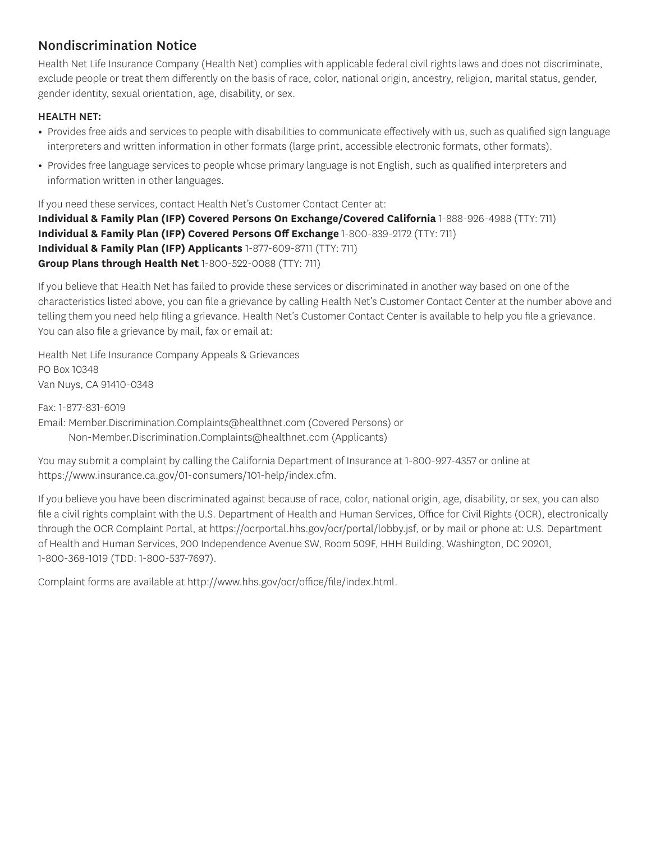## Nondiscrimination Notice

Health Net Life Insurance Company (Health Net) complies with applicable federal civil rights laws and does not discriminate, exclude people or treat them differently on the basis of race, color, national origin, ancestry, religion, marital status, gender, gender identity, sexual orientation, age, disability, or sex.

#### HEALTH NET:

- **•** Provides free aids and services to people with disabilities to communicate effectively with us, such as qualified sign language interpreters and written information in other formats (large print, accessible electronic formats, other formats).
- **•** Provides free language services to people whose primary language is not English, such as qualified interpreters and information written in other languages.

If you need these services, contact Health Net's Customer Contact Center at: **Individual & Family Plan (IFP) Covered Persons On Exchange/Covered California** 1-888-926-4988 (TTY: 711) **Individual & Family Plan (IFP) Covered Persons Off Exchange** 1-800-839-2172 (TTY: 711) **Individual & Family Plan (IFP) Applicants** 1-877-609-8711 (TTY: 711) **Group Plans through Health Net** 1-800-522-0088 (TTY: 711)

If you believe that Health Net has failed to provide these services or discriminated in another way based on one of the characteristics listed above, you can file a grievance by calling Health Net's Customer Contact Center at the number above and telling them you need help filing a grievance. Health Net's Customer Contact Center is available to help you file a grievance. You can also file a grievance by mail, fax or email at:

Health Net Life Insurance Company Appeals & Grievances PO Box 10348 Van Nuys, CA 91410-0348

Fax: 1-877-831-6019 Email: Member.Discrimination.Complaints@healthnet.com (Covered Persons) or Non-Member.Discrimination.Complaints@healthnet.com (Applicants)

You may submit a complaint by calling the California Department of Insurance at 1-800-927-4357 or online at https://www.insurance.ca.gov/01-consumers/101-help/index.cfm.

If you believe you have been discriminated against because of race, color, national origin, age, disability, or sex, you can also file a civil rights complaint with the U.S. Department of Health and Human Services, Office for Civil Rights (OCR), electronically through the OCR Complaint Portal, at https://ocrportal.hhs.gov/ocr/portal/lobby.jsf, or by mail or phone at: U.S. Department of Health and Human Services, 200 Independence Avenue SW, Room 509F, HHH Building, Washington, DC 20201, 1-800-368-1019 (TDD: 1-800-537-7697).

Complaint forms are available at http://www.hhs.gov/ocr/office/file/index.html.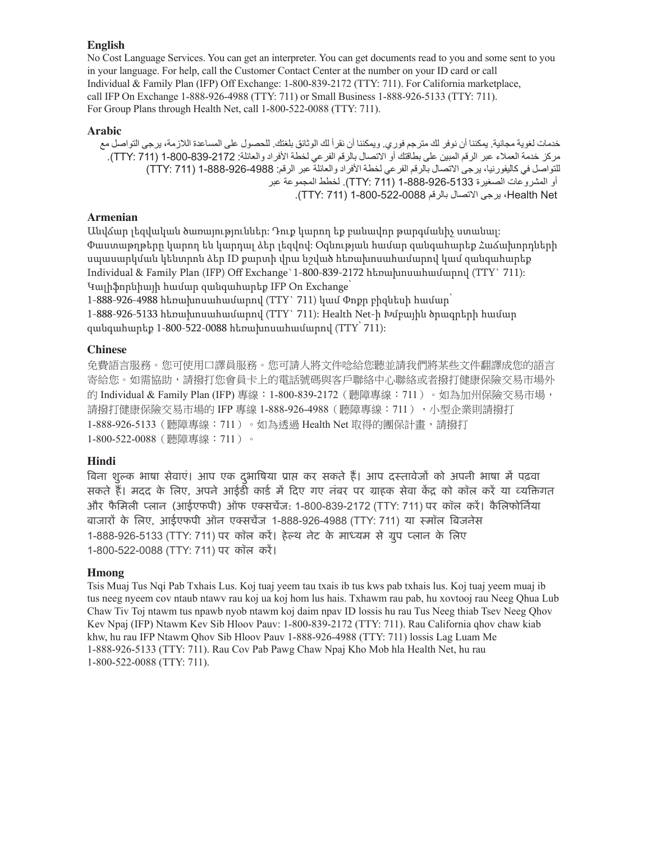#### **English**

No Cost Language Services. You can get an interpreter. You can get documents read to you and some sent to you in your language. For help, call the Customer Contact Center at the number on your ID card or call Individual & Family Plan (IFP) Off Exchange: 1-800-839-2172 (TTY: 711). For California marketplace, call IFP On Exchange 1-888-926-4988 (TTY: 711) or Small Business 1-888-926-5133 (TTY: 711). For Group Plans through Health Net, call 1-800-522-0088 (TTY: 711).

#### **Arabic**

خدمات لغوية مجانية . يمكننا أن نوفر لك مترجم فوري. ويمكننا أن نقرأ لك الوثائق بلغتك . للحصول على المساعدة الالزمة، يرجى التواصل مع مركز خدمة العمالء عبر الرقم المبين على بطاقتك أو االتصال بالرقم الفرعي لخطة األفراد والعائلة: 1-800-839-2172 )711 :TTY). للتواصل في كاليفورنيا، يرجى الاتصال بالرقم الفرعي لخطة الأفراد والعائلة عبر الرقم: 1988-926-888-1 (TTY: 711) أو المشروعات الصغيرة 1-888-926-5133 )711 :TTY). لخطط المجموعة عبر Net Health، يرجى االتصال بالرقم 1-800-522-0088 )711 :TTY) .

#### **Armenian**

Անվճար լեզվական ծառայություններ: Դուք կարող եք բանավոր թարգմանիչ ստանալ: Փաստաթղթերը կարող են կարդալ ձեր լեզվով: Օգնության համար զանգահարեք Հաճախորդների սպասարկման կենտրոն ձեր ID քարտի վրա նշված հեռախոսահամարով կամ զանգահարեք Individual & Family Plan (IFP) Off Exchange`1-800-839-2172 հեռախոսահամարով (TTY` 711): Կալիֆորնիայի համար զանգահարեք IFP On Exchange՝

1-888-926-4988 հեռախոսահամարով (TTY` 711) կամ Փոքր բիզնեսի համար

1-888-926-5133 հեռախոսահամարով (TTY` 711): Health Net-ի Խմբային ծրագրերի համար զանգահարեք 1-800-522-0088 հեռախոսահամարով (TTY՝ 711):

#### **Chinese**

免費語言服務。您可使用口譯員服務。您可請人將文件唸給您聽並請我們將某些文件翻譯成您的語言 寄給您。如需協助,請撥打您會員卡上的電話號碼與客戶聯絡中心聯絡或者撥打健康保險交易市場外 的 Individual & Family Plan (IFP) 專線:1-800-839-2172(聽障專線:711 )。如為加州保險交易市場, 請撥打健康保險交易市場的 IFP 專線 1-888-926-4988(聽障專線:711),小型企業則請撥打 1-888-926-5133 (聽障專線: 711)。如為透過 Health Net 取得的團保計書,請撥打 1-800-522-0088(聽障專線:711)。

#### **Hindi**

बिना शुल्क भाषा सेवाए। आप एक दुर्भाषिया प्राप्त कर सकते हैं। आप दस्तावेजों को अपनी भाषा में पढ़वा सकते हैं। मदद के लिए, अपने आईडी कार्ड में दिए गए नंबर पर ग्राहक सेवा केंद्र को कॉल करें या व्यक्तिगत और फैमिली प्लान (आईएफपी) ऑफ एक्सचेज: 1-800-839-2172 (TTY: 711) पर कॉल करें। कैलिफोर्निया बाजारों के लिए, आईएफपी आंन एक्सचेज 1-888-926-4988 (TTY: 711) या स्मांल बिजनेस 1-888-926-5133 (TTY: 711) पर कॉल करे। हेल्थ नेट के माध्यम से ग्रुप प्लान के लिए 1-800-522-0088 (TTY: 711) पर कॉल करें।

#### **Hmong**

Tsis Muaj Tus Nqi Pab Txhais Lus. Koj tuaj yeem tau txais ib tus kws pab txhais lus. Koj tuaj yeem muaj ib tus neeg nyeem cov ntaub ntawv rau koj ua koj hom lus hais. Txhawm rau pab, hu xovtooj rau Neeg Qhua Lub Chaw Tiv Toj ntawm tus npawb nyob ntawm koj daim npav ID lossis hu rau Tus Neeg thiab Tsev Neeg Qhov Kev Npaj (IFP) Ntawm Kev Sib Hloov Pauv: 1-800-839-2172 (TTY: 711). Rau California qhov chaw kiab khw, hu rau IFP Ntawm Qhov Sib Hloov Pauv 1-888-926-4988 (TTY: 711) lossis Lag Luam Me 1-888-926-5133 (TTY: 711). Rau Cov Pab Pawg Chaw Npaj Kho Mob hla Health Net, hu rau 1-800-522-0088 (TTY: 711).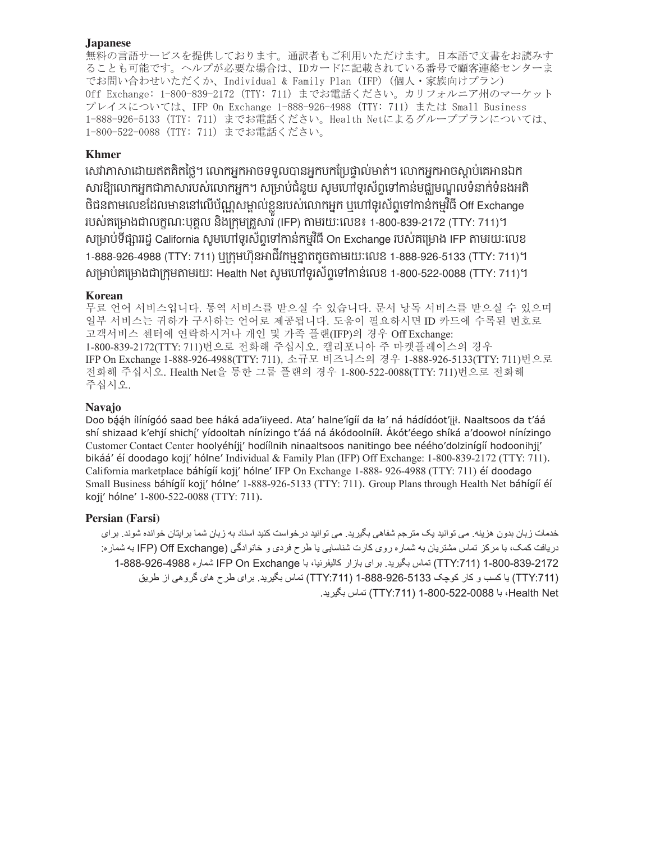#### **Japanese**

無料の言語サービスを提供しております。通訳者もご利用いただけます。日本語で文書をお読みす ることも可能です。ヘルプが必要な場合は、IDカードに記載されている番号で顧客連絡センターま でお問い合わせいただくか、Individual & Family Plan (IFP) (個人・家族向けプラン) Off Exchange: 1-800-839-2172 (TTY: 711) までお電話ください。カリフォルニア州のマーケット プレイスについては、IFP On Exchange 1-888-926-4988 (TTY: 711) または Small Business 1-888-926-5133 (TTY: 711) までお電話ください。Health Netによるグループプランについては、 1-800-522-0088 (TTY: 711) までお電話ください。

#### **Khmer**

សេវាភាសាដោយឥតគតច្លេ។ លោកអ្នកអាចទទួលបានអ្នកបកប្រេច្ឆាល់មាត់។ លោកអ្នកអាចស្តាប់គេអានឯក សារឱ្យលោកអ្នកជាភាសារបស់លោកអ្នក។ សម្រាប់ជនួយ សូមហោទូរសព្ទទោកានមជ្ឈមណ្ឌលទំនាក់ទំនងអតិ i ចជនតាមលេខដែលមាននោលេបណ្ណសម្គាលខ្លួនរបស់លោកអ្នក ឬហោទូរសព្ទទោកានកម្មរធ Off Exchange របេ់គស្មាងជាលក្ខណៈបុគគាល នង្ករុម្គរួសារ (IFP) តាមរយៈសលខ៖ 1-800-839-2172 (TTY: 711)។ សម្រាប់ទផ្សាររដ្ឋ California សូមហោទូរសព្ទទោកានកម្មវិធី On Exchange របស់គម្រោង IFP តាមរយៈលេខ 1-888-926-4988 (TTY: 711) ឬក្រុមហ៊ុនអាជវកម្មខ្នាតតូចតាមរយៈលេខ 1-888-926-5133 (TTY: 711)។ សម្រាប់គម្រោងជាក្រុមតាមរយៈ Health Net សូមហេពទូរសព្ទទោកានលេខ 1-800-522-0088 (TTY: 711)។ ំ ិ ិ

#### **Korean**

무료 언어 서비스입니다. 통역 서비스를 받으실 수 있습니다. 문서 낭독 서비스를 받으실 수 있으며 일부 서비스는 귀하가 구사하는 언어로 제공됩니다. 도움이 필요하시면 ID 카드에 수록된 번호로 고객서비스 센터에 연락하시거나 개인 및 가족 플랜(IFP)의 경우 Off Exchange: 1-800-839-2172(TTY: 711) 번으로 전화해 주십시오. 캘리포니아 주 마켓플레이스의 경우 IFP On Exchange 1-888-926-4988(TTY: 711) , 소규모 비즈니스의 경우 1-888-926-5133(TTY: 711) 번으로 전화해 주십시오. Health Net을 통한 그룹 플랜의 경우 1-800-522-0088(TTY: 711) 번으로 전화해 주십시오.

#### **Navajo**

Doo bááh ílínígóó saad bee háká ada'iiyeed. Ata' halne'ígíí da ła' ná hádídóot'jił. Naaltsoos da t'áá shí shizaad k'ehjí shichí' yídooltah nínízingo t'áá ná ákódoolnííł. Ákót'éego shíká a'doowoł nínízingo Customer Contact Center hoolyéhíjj' hodíílnih ninaaltsoos nanitingo bee néého'dolzinígíí hodoonihjj' bikáá' éí doodago kojj' hólne' Individual & Family Plan (IFP) Off Exchange: 1-800-839-2172 (TTY: 711). California marketplace báhígíí koji' hólne' IFP On Exchange 1-888- 926-4988 (TTY: 711) éí doodago Small Business báhígíí koji' hólne' 1-888-926-5133 (TTY: 711). Group Plans through Health Net báhígíí éí kojį' hólne' 1-800-522-0088 (TTY: 711).

#### **Persian (Farsi)**

خدمات زبان بدون هزينه. می توانيد يک مترجم شفاهی بگيريد. می توانيد درخواست کنيد اسناد به زبان شما برايتان خوانده شوند. برای دريافت کمک، با مرکز تماس مشتريان به شماره روی کارت شناسايی يا طرح فردی و خانوادگی (Exchange Off( IFP به شماره: 1-800-839-2172 ):711TTY )تماس بگيريد. برای بازار کاليفرنيا، با Exchange On IFP شماره 1-888-926-4988 ):711TTY )يا کسب و کار کوچک 1-888-926-5133 ):711TTY )تماس بگيريد. برای طرح های گروهی از طريق Net Health، با 1-800-522-0088 ):711TTY )تماس بگيريد.